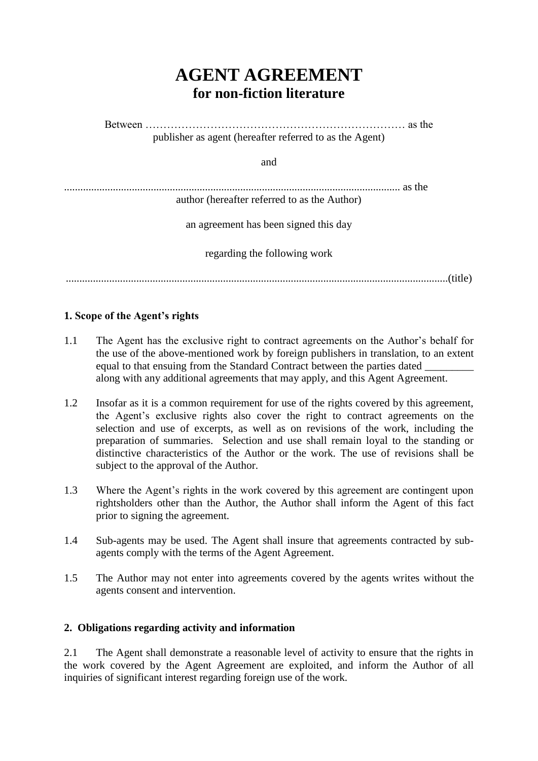# **AGENT AGREEMENT for non-fiction literature**

Between ……………………………………………………………… as the publisher as agent (hereafter referred to as the Agent) and ............................................................................................................................ as the author (hereafter referred to as the Author) an agreement has been signed this day regarding the following work .............................................................................................................................................(title)

# **1. Scope of the Agent's rights**

- 1.1 The Agent has the exclusive right to contract agreements on the Author's behalf for the use of the above-mentioned work by foreign publishers in translation, to an extent equal to that ensuing from the Standard Contract between the parties dated \_\_\_\_\_\_\_\_\_ along with any additional agreements that may apply, and this Agent Agreement.
- 1.2 Insofar as it is a common requirement for use of the rights covered by this agreement, the Agent's exclusive rights also cover the right to contract agreements on the selection and use of excerpts, as well as on revisions of the work, including the preparation of summaries. Selection and use shall remain loyal to the standing or distinctive characteristics of the Author or the work. The use of revisions shall be subject to the approval of the Author.
- 1.3 Where the Agent's rights in the work covered by this agreement are contingent upon rightsholders other than the Author, the Author shall inform the Agent of this fact prior to signing the agreement.
- 1.4 Sub-agents may be used. The Agent shall insure that agreements contracted by subagents comply with the terms of the Agent Agreement.
- 1.5 The Author may not enter into agreements covered by the agents writes without the agents consent and intervention.

#### **2. Obligations regarding activity and information**

2.1 The Agent shall demonstrate a reasonable level of activity to ensure that the rights in the work covered by the Agent Agreement are exploited, and inform the Author of all inquiries of significant interest regarding foreign use of the work.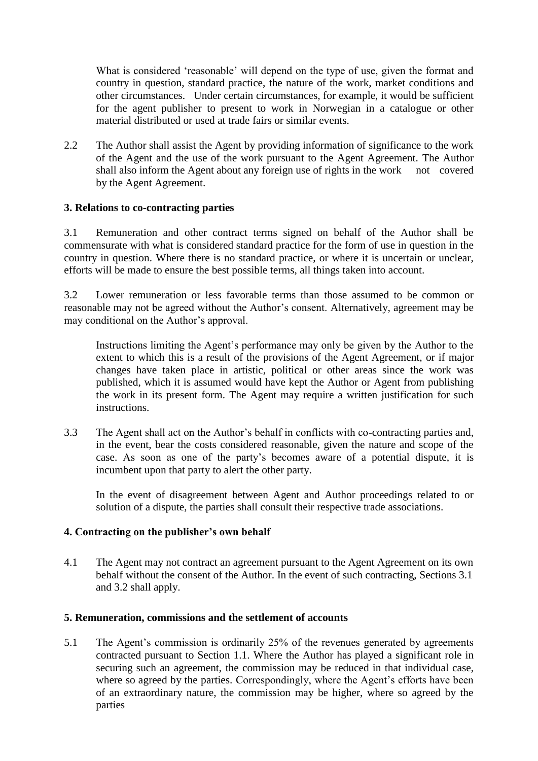What is considered 'reasonable' will depend on the type of use, given the format and country in question, standard practice, the nature of the work, market conditions and other circumstances. Under certain circumstances, for example, it would be sufficient for the agent publisher to present to work in Norwegian in a catalogue or other material distributed or used at trade fairs or similar events.

2.2 The Author shall assist the Agent by providing information of significance to the work of the Agent and the use of the work pursuant to the Agent Agreement. The Author shall also inform the Agent about any foreign use of rights in the work not covered by the Agent Agreement.

# **3. Relations to co-contracting parties**

3.1 Remuneration and other contract terms signed on behalf of the Author shall be commensurate with what is considered standard practice for the form of use in question in the country in question. Where there is no standard practice, or where it is uncertain or unclear, efforts will be made to ensure the best possible terms, all things taken into account.

3.2 Lower remuneration or less favorable terms than those assumed to be common or reasonable may not be agreed without the Author's consent. Alternatively, agreement may be may conditional on the Author's approval.

Instructions limiting the Agent's performance may only be given by the Author to the extent to which this is a result of the provisions of the Agent Agreement, or if major changes have taken place in artistic, political or other areas since the work was published, which it is assumed would have kept the Author or Agent from publishing the work in its present form. The Agent may require a written justification for such instructions.

3.3 The Agent shall act on the Author's behalf in conflicts with co-contracting parties and, in the event, bear the costs considered reasonable, given the nature and scope of the case. As soon as one of the party's becomes aware of a potential dispute, it is incumbent upon that party to alert the other party.

In the event of disagreement between Agent and Author proceedings related to or solution of a dispute, the parties shall consult their respective trade associations.

# **4. Contracting on the publisher's own behalf**

4.1 The Agent may not contract an agreement pursuant to the Agent Agreement on its own behalf without the consent of the Author. In the event of such contracting, Sections 3.1 and 3.2 shall apply.

#### **5. Remuneration, commissions and the settlement of accounts**

5.1 The Agent's commission is ordinarily 25% of the revenues generated by agreements contracted pursuant to Section 1.1. Where the Author has played a significant role in securing such an agreement, the commission may be reduced in that individual case, where so agreed by the parties. Correspondingly, where the Agent's efforts have been of an extraordinary nature, the commission may be higher, where so agreed by the parties